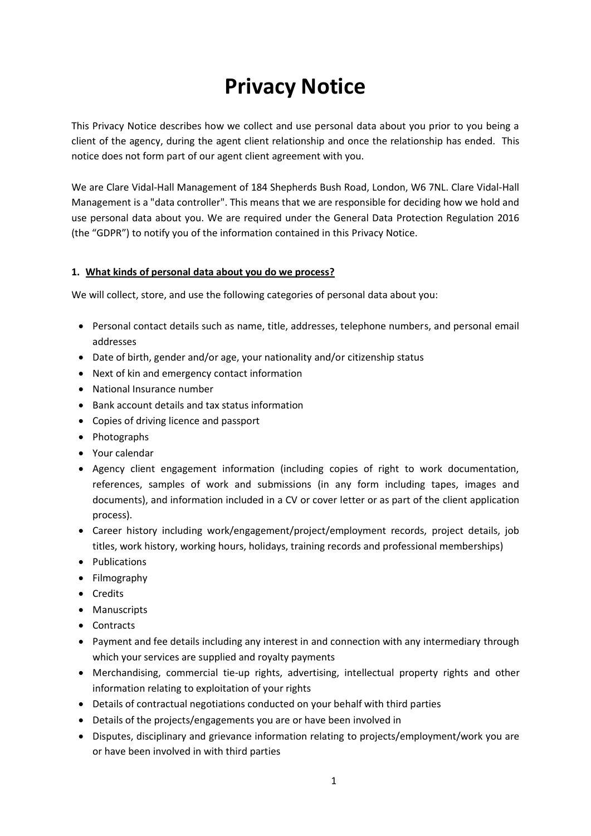# **Privacy Notice**

This Privacy Notice describes how we collect and use personal data about you prior to you being a client of the agency, during the agent client relationship and once the relationship has ended. This notice does not form part of our agent client agreement with you.

We are Clare Vidal-Hall Management of 184 Shepherds Bush Road, London, W6 7NL. Clare Vidal-Hall Management is a "data controller". This means that we are responsible for deciding how we hold and use personal data about you. We are required under the General Data Protection Regulation 2016 (the "GDPR") to notify you of the information contained in this Privacy Notice.

#### **1. What kinds of personal data about you do we process?**

We will collect, store, and use the following categories of personal data about you:

- Personal contact details such as name, title, addresses, telephone numbers, and personal email addresses
- Date of birth, gender and/or age, your nationality and/or citizenship status
- Next of kin and emergency contact information
- National Insurance number
- Bank account details and tax status information
- Copies of driving licence and passport
- Photographs
- Your calendar
- Agency client engagement information (including copies of right to work documentation, references, samples of work and submissions (in any form including tapes, images and documents), and information included in a CV or cover letter or as part of the client application process).
- Career history including work/engagement/project/employment records, project details, job titles, work history, working hours, holidays, training records and professional memberships)
- Publications
- Filmography
- Credits
- Manuscripts
- Contracts
- Payment and fee details including any interest in and connection with any intermediary through which your services are supplied and royalty payments
- Merchandising, commercial tie-up rights, advertising, intellectual property rights and other information relating to exploitation of your rights
- Details of contractual negotiations conducted on your behalf with third parties
- Details of the projects/engagements you are or have been involved in
- Disputes, disciplinary and grievance information relating to projects/employment/work you are or have been involved in with third parties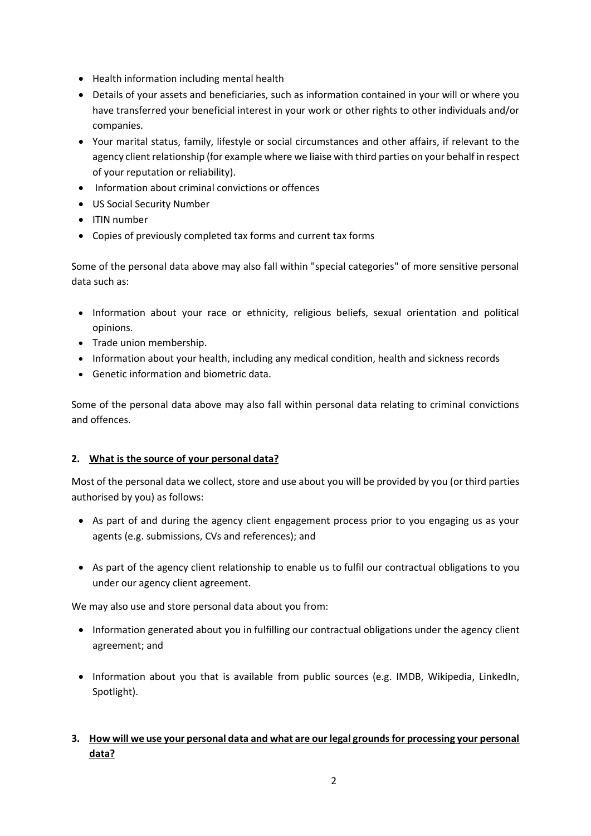- Health information including mental health
- Details of your assets and beneficiaries, such as information contained in your will or where you have transferred your beneficial interest in your work or other rights to other individuals and/or companies.
- Your marital status, family, lifestyle or social circumstances and other affairs, if relevant to the agency client relationship (for example where we liaise with third parties on your behalf in respect of your reputation or reliability).
- Information about criminal convictions or offences
- US Social Security Number
- ITIN number
- Copies of previously completed tax forms and current tax forms

Some of the personal data above may also fall within "special categories" of more sensitive personal data such as:

- Information about your race or ethnicity, religious beliefs, sexual orientation and political opinions.
- Trade union membership.
- Information about your health, including any medical condition, health and sickness records
- Genetic information and biometric data.

Some of the personal data above may also fall within personal data relating to criminal convictions and offences.

## **2. What is the source of your personal data?**

Most of the personal data we collect, store and use about you will be provided by you (or third parties authorised by you) as follows:

- As part of and during the agency client engagement process prior to you engaging us as your agents (e.g. submissions, CVs and references); and
- As part of the agency client relationship to enable us to fulfil our contractual obligations to you under our agency client agreement.

We may also use and store personal data about you from:

- Information generated about you in fulfilling our contractual obligations under the agency client agreement; and
- Information about you that is available from public sources (e.g. IMDB, Wikipedia, LinkedIn, Spotlight).

## **3. How will we use your personal data and what are our legal grounds for processing your personal data?**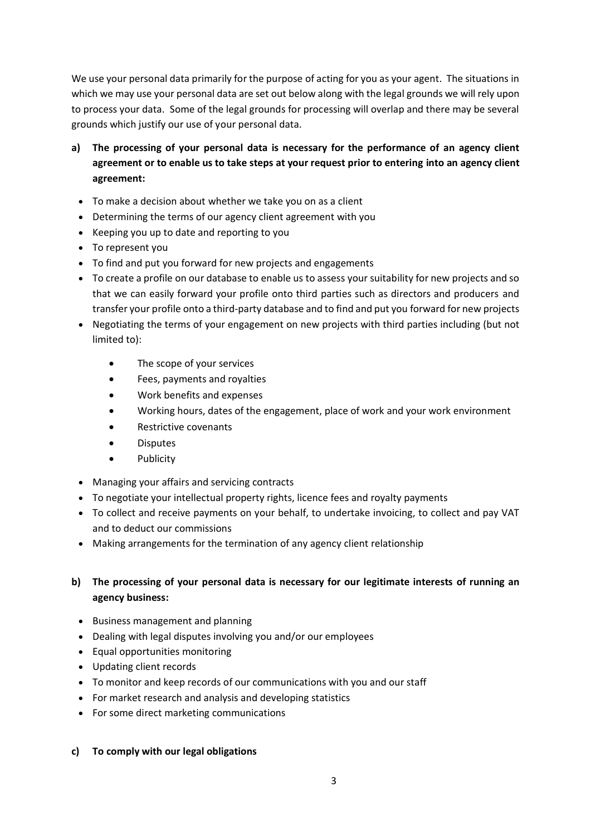We use your personal data primarily for the purpose of acting for you as your agent. The situations in which we may use your personal data are set out below along with the legal grounds we will rely upon to process your data. Some of the legal grounds for processing will overlap and there may be several grounds which justify our use of your personal data.

- **a) The processing of your personal data is necessary for the performance of an agency client agreement or to enable us to take steps at your request prior to entering into an agency client agreement:**
	- To make a decision about whether we take you on as a client
	- Determining the terms of our agency client agreement with you
	- Keeping you up to date and reporting to you
	- To represent you
	- To find and put you forward for new projects and engagements
	- To create a profile on our database to enable us to assess your suitability for new projects and so that we can easily forward your profile onto third parties such as directors and producers and transfer your profile onto a third-party database and to find and put you forward for new projects
	- Negotiating the terms of your engagement on new projects with third parties including (but not limited to):
		- The scope of your services
		- Fees, payments and royalties
		- Work benefits and expenses
		- Working hours, dates of the engagement, place of work and your work environment
		- Restrictive covenants
		- Disputes
		- Publicity
	- Managing your affairs and servicing contracts
	- To negotiate your intellectual property rights, licence fees and royalty payments
	- To collect and receive payments on your behalf, to undertake invoicing, to collect and pay VAT and to deduct our commissions
	- Making arrangements for the termination of any agency client relationship

## **b) The processing of your personal data is necessary for our legitimate interests of running an agency business:**

- Business management and planning
- Dealing with legal disputes involving you and/or our employees
- Equal opportunities monitoring
- Updating client records
- To monitor and keep records of our communications with you and our staff
- For market research and analysis and developing statistics
- For some direct marketing communications

#### **c) To comply with our legal obligations**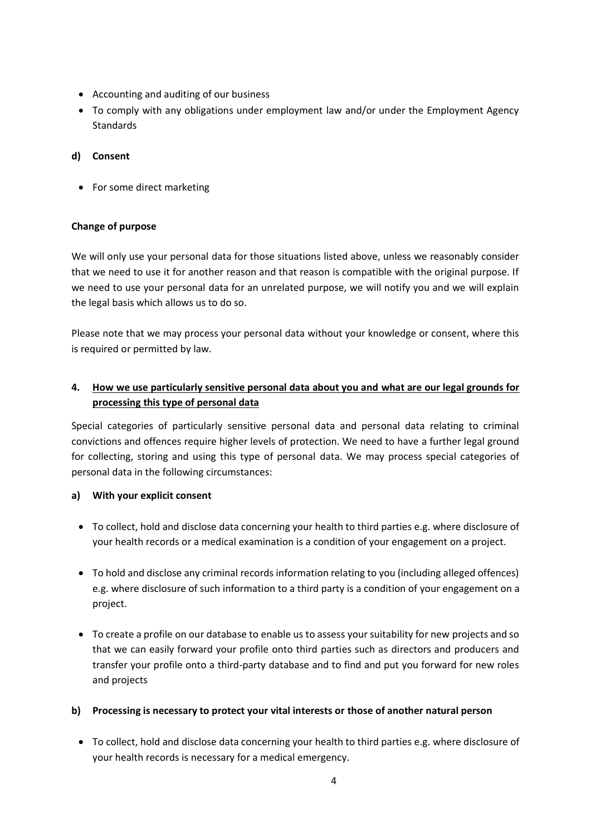- Accounting and auditing of our business
- To comply with any obligations under employment law and/or under the Employment Agency **Standards**

## **d) Consent**

• For some direct marketing

## **Change of purpose**

We will only use your personal data for those situations listed above, unless we reasonably consider that we need to use it for another reason and that reason is compatible with the original purpose. If we need to use your personal data for an unrelated purpose, we will notify you and we will explain the legal basis which allows us to do so.

Please note that we may process your personal data without your knowledge or consent, where this is required or permitted by law.

## **4. How we use particularly sensitive personal data about you and what are our legal grounds for processing this type of personal data**

Special categories of particularly sensitive personal data and personal data relating to criminal convictions and offences require higher levels of protection. We need to have a further legal ground for collecting, storing and using this type of personal data. We may process special categories of personal data in the following circumstances:

## **a) With your explicit consent**

- To collect, hold and disclose data concerning your health to third parties e.g. where disclosure of your health records or a medical examination is a condition of your engagement on a project.
- To hold and disclose any criminal records information relating to you (including alleged offences) e.g. where disclosure of such information to a third party is a condition of your engagement on a project.
- To create a profile on our database to enable us to assess your suitability for new projects and so that we can easily forward your profile onto third parties such as directors and producers and transfer your profile onto a third-party database and to find and put you forward for new roles and projects

## **b) Processing is necessary to protect your vital interests or those of another natural person**

• To collect, hold and disclose data concerning your health to third parties e.g. where disclosure of your health records is necessary for a medical emergency.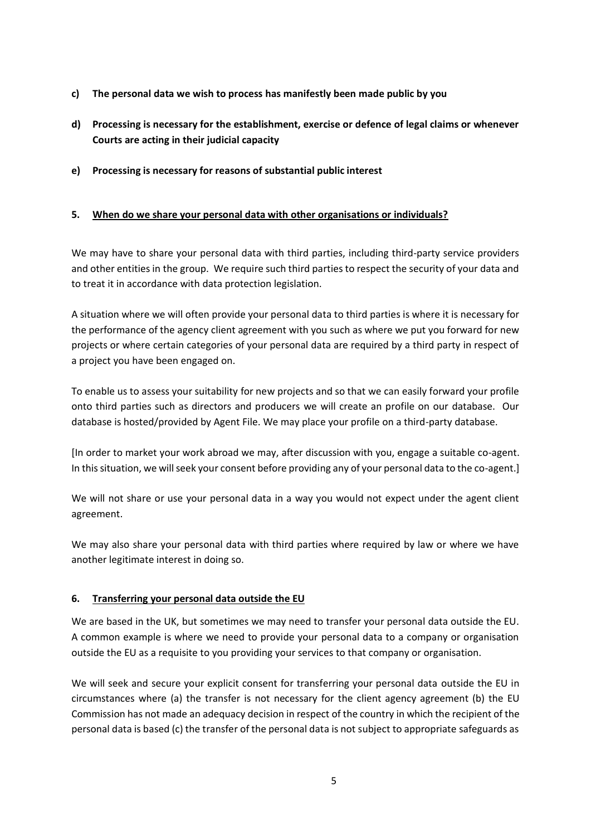- **c) The personal data we wish to process has manifestly been made public by you**
- **d) Processing is necessary for the establishment, exercise or defence of legal claims or whenever Courts are acting in their judicial capacity**
- **e) Processing is necessary for reasons of substantial public interest**

#### **5. When do we share your personal data with other organisations or individuals?**

We may have to share your personal data with third parties, including third-party service providers and other entities in the group. We require such third parties to respect the security of your data and to treat it in accordance with data protection legislation.

A situation where we will often provide your personal data to third parties is where it is necessary for the performance of the agency client agreement with you such as where we put you forward for new projects or where certain categories of your personal data are required by a third party in respect of a project you have been engaged on.

To enable us to assess your suitability for new projects and so that we can easily forward your profile onto third parties such as directors and producers we will create an profile on our database. Our database is hosted/provided by Agent File. We may place your profile on a third-party database.

[In order to market your work abroad we may, after discussion with you, engage a suitable co-agent. In this situation, we will seek your consent before providing any of your personal data to the co-agent.]

We will not share or use your personal data in a way you would not expect under the agent client agreement.

We may also share your personal data with third parties where required by law or where we have another legitimate interest in doing so.

#### **6. Transferring your personal data outside the EU**

We are based in the UK, but sometimes we may need to transfer your personal data outside the EU. A common example is where we need to provide your personal data to a company or organisation outside the EU as a requisite to you providing your services to that company or organisation.

We will seek and secure your explicit consent for transferring your personal data outside the EU in circumstances where (a) the transfer is not necessary for the client agency agreement (b) the EU Commission has not made an adequacy decision in respect of the country in which the recipient of the personal data is based (c) the transfer of the personal data is not subject to appropriate safeguards as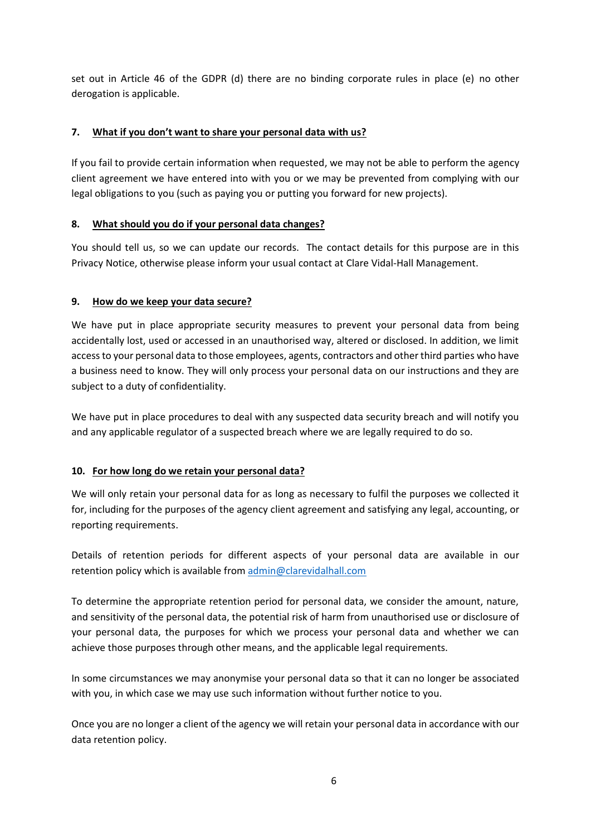set out in Article 46 of the GDPR (d) there are no binding corporate rules in place (e) no other derogation is applicable.

## **7. What if you don't want to share your personal data with us?**

If you fail to provide certain information when requested, we may not be able to perform the agency client agreement we have entered into with you or we may be prevented from complying with our legal obligations to you (such as paying you or putting you forward for new projects).

## **8. What should you do if your personal data changes?**

You should tell us, so we can update our records. The contact details for this purpose are in this Privacy Notice, otherwise please inform your usual contact at Clare Vidal-Hall Management.

## **9. How do we keep your data secure?**

We have put in place appropriate security measures to prevent your personal data from being accidentally lost, used or accessed in an unauthorised way, altered or disclosed. In addition, we limit access to your personal data to those employees, agents, contractors and other third parties who have a business need to know. They will only process your personal data on our instructions and they are subject to a duty of confidentiality.

We have put in place procedures to deal with any suspected data security breach and will notify you and any applicable regulator of a suspected breach where we are legally required to do so.

## **10. For how long do we retain your personal data?**

We will only retain your personal data for as long as necessary to fulfil the purposes we collected it for, including for the purposes of the agency client agreement and satisfying any legal, accounting, or reporting requirements.

Details of retention periods for different aspects of your personal data are available in our retention policy which is available from [admin@clarevidalhall.com](mailto:admin@clarevidalhall.com)

To determine the appropriate retention period for personal data, we consider the amount, nature, and sensitivity of the personal data, the potential risk of harm from unauthorised use or disclosure of your personal data, the purposes for which we process your personal data and whether we can achieve those purposes through other means, and the applicable legal requirements.

In some circumstances we may anonymise your personal data so that it can no longer be associated with you, in which case we may use such information without further notice to you.

Once you are no longer a client of the agency we will retain your personal data in accordance with our data retention policy.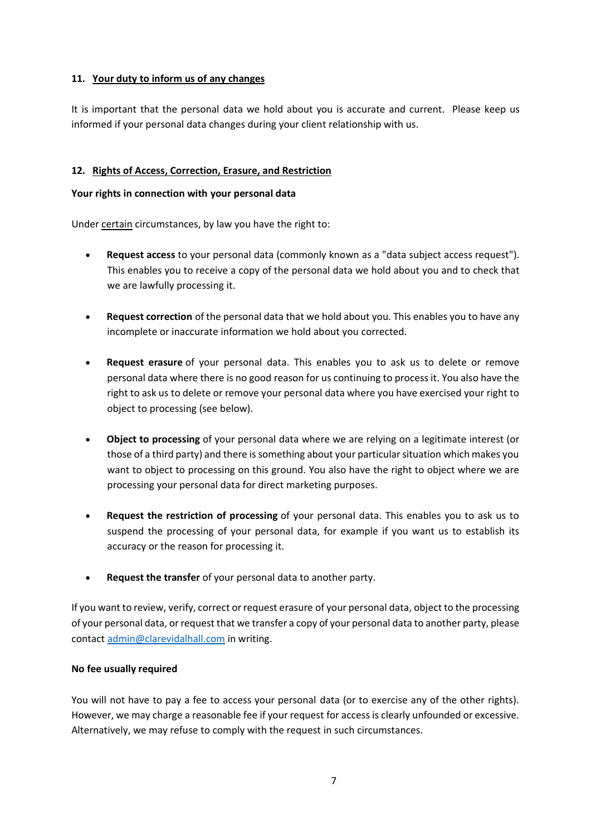#### **11. Your duty to inform us of any changes**

It is important that the personal data we hold about you is accurate and current. Please keep us informed if your personal data changes during your client relationship with us.

#### **12. Rights of Access, Correction, Erasure, and Restriction**

#### **Your rights in connection with your personal data**

Under certain circumstances, by law you have the right to:

- **Request access** to your personal data (commonly known as a "data subject access request"). This enables you to receive a copy of the personal data we hold about you and to check that we are lawfully processing it.
- **Request correction** of the personal data that we hold about you. This enables you to have any incomplete or inaccurate information we hold about you corrected.
- **Request erasure** of your personal data. This enables you to ask us to delete or remove personal data where there is no good reason for us continuing to process it. You also have the right to ask us to delete or remove your personal data where you have exercised your right to object to processing (see below).
- **Object to processing** of your personal data where we are relying on a legitimate interest (or those of a third party) and there is something about your particular situation which makes you want to object to processing on this ground. You also have the right to object where we are processing your personal data for direct marketing purposes.
- **Request the restriction of processing** of your personal data. This enables you to ask us to suspend the processing of your personal data, for example if you want us to establish its accuracy or the reason for processing it.
- **Request the transfer** of your personal data to another party.

If you want to review, verify, correct or request erasure of your personal data, object to the processing of your personal data, or request that we transfer a copy of your personal data to another party, please contact [admin@clarevidalhall.com](mailto:admin@clarevidalhall.com) in writing.

#### **No fee usually required**

You will not have to pay a fee to access your personal data (or to exercise any of the other rights). However, we may charge a reasonable fee if your request for access is clearly unfounded or excessive. Alternatively, we may refuse to comply with the request in such circumstances.